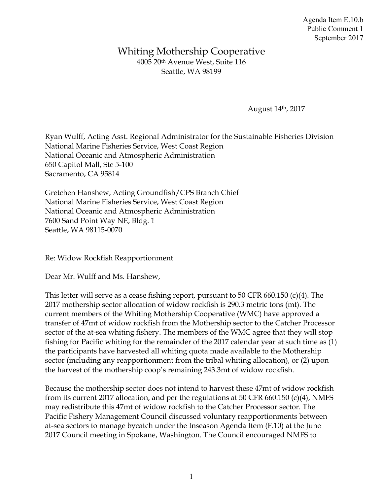## Whiting Mothership Cooperative 4005 20th Avenue West, Suite 116 Seattle, WA 98199

August 14th, 2017

Ryan Wulff, Acting Asst. Regional Administrator for the Sustainable Fisheries Division National Marine Fisheries Service, West Coast Region National Oceanic and Atmospheric Administration 650 Capitol Mall, Ste 5-100 Sacramento, CA 95814

Gretchen Hanshew, Acting Groundfish/CPS Branch Chief National Marine Fisheries Service, West Coast Region National Oceanic and Atmospheric Administration 7600 Sand Point Way NE, Bldg. 1 Seattle, WA 98115-0070

Re: Widow Rockfish Reapportionment

Dear Mr. Wulff and Ms. Hanshew,

This letter will serve as a cease fishing report, pursuant to 50 CFR 660.150 (c)(4). The 2017 mothership sector allocation of widow rockfish is 290.3 metric tons (mt). The current members of the Whiting Mothership Cooperative (WMC) have approved a transfer of 47mt of widow rockfish from the Mothership sector to the Catcher Processor sector of the at-sea whiting fishery. The members of the WMC agree that they will stop fishing for Pacific whiting for the remainder of the 2017 calendar year at such time as (1) the participants have harvested all whiting quota made available to the Mothership sector (including any reapportionment from the tribal whiting allocation), or (2) upon the harvest of the mothership coop's remaining 243.3mt of widow rockfish.

Because the mothership sector does not intend to harvest these 47mt of widow rockfish from its current 2017 allocation, and per the regulations at 50 CFR 660.150 (c)(4), NMFS may redistribute this 47mt of widow rockfish to the Catcher Processor sector. The Pacific Fishery Management Council discussed voluntary reapportionments between at-sea sectors to manage bycatch under the Inseason Agenda Item (F.10) at the June 2017 Council meeting in Spokane, Washington. The Council encouraged NMFS to